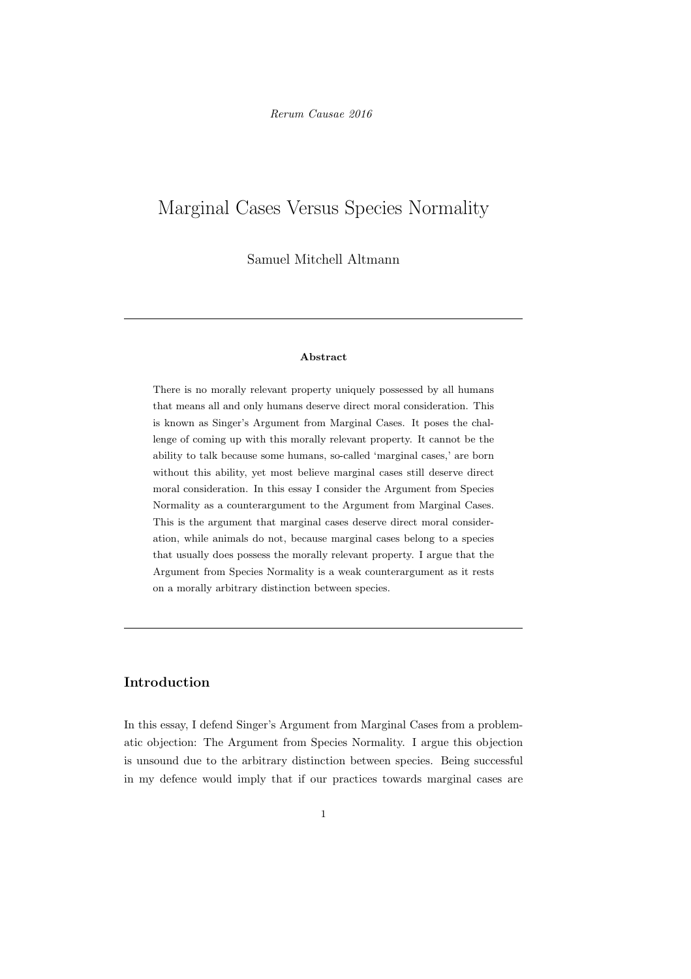# Marginal Cases Versus Species Normality

Samuel Mitchell Altmann

#### Abstract

There is no morally relevant property uniquely possessed by all humans that means all and only humans deserve direct moral consideration. This is known as Singer's Argument from Marginal Cases. It poses the challenge of coming up with this morally relevant property. It cannot be the ability to talk because some humans, so-called 'marginal cases,' are born without this ability, yet most believe marginal cases still deserve direct moral consideration. In this essay I consider the Argument from Species Normality as a counterargument to the Argument from Marginal Cases. This is the argument that marginal cases deserve direct moral consideration, while animals do not, because marginal cases belong to a species that usually does possess the morally relevant property. I argue that the Argument from Species Normality is a weak counterargument as it rests on a morally arbitrary distinction between species.

## Introduction

In this essay, I defend Singer's Argument from Marginal Cases from a problematic objection: The Argument from Species Normality. I argue this objection is unsound due to the arbitrary distinction between species. Being successful in my defence would imply that if our practices towards marginal cases are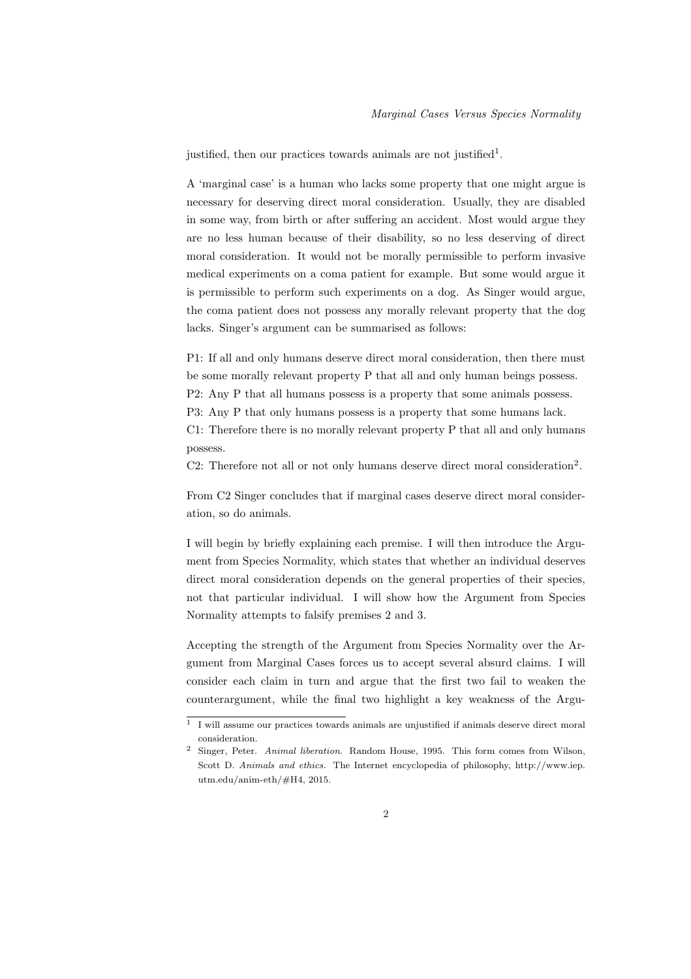justified, then our practices towards animals are not justified<sup>1</sup>.

A 'marginal case' is a human who lacks some property that one might argue is necessary for deserving direct moral consideration. Usually, they are disabled in some way, from birth or after suffering an accident. Most would argue they are no less human because of their disability, so no less deserving of direct moral consideration. It would not be morally permissible to perform invasive medical experiments on a coma patient for example. But some would argue it is permissible to perform such experiments on a dog. As Singer would argue, the coma patient does not possess any morally relevant property that the dog lacks. Singer's argument can be summarised as follows:

P1: If all and only humans deserve direct moral consideration, then there must be some morally relevant property P that all and only human beings possess. P2: Any P that all humans possess is a property that some animals possess. P3: Any P that only humans possess is a property that some humans lack. C1: Therefore there is no morally relevant property P that all and only humans

possess.

C2: Therefore not all or not only humans deserve direct moral consideration<sup>2</sup>.

From C2 Singer concludes that if marginal cases deserve direct moral consideration, so do animals.

I will begin by briefly explaining each premise. I will then introduce the Argument from Species Normality, which states that whether an individual deserves direct moral consideration depends on the general properties of their species, not that particular individual. I will show how the Argument from Species Normality attempts to falsify premises 2 and 3.

Accepting the strength of the Argument from Species Normality over the Argument from Marginal Cases forces us to accept several absurd claims. I will consider each claim in turn and argue that the first two fail to weaken the counterargument, while the final two highlight a key weakness of the Argu-

<sup>1</sup> I will assume our practices towards animals are unjustified if animals deserve direct moral consideration.

<sup>2</sup> Singer, Peter. Animal liberation. Random House, 1995. This form comes from Wilson, Scott D. Animals and ethics. The Internet encyclopedia of philosophy, http://www.iep. utm.edu/anim-eth/#H4, 2015.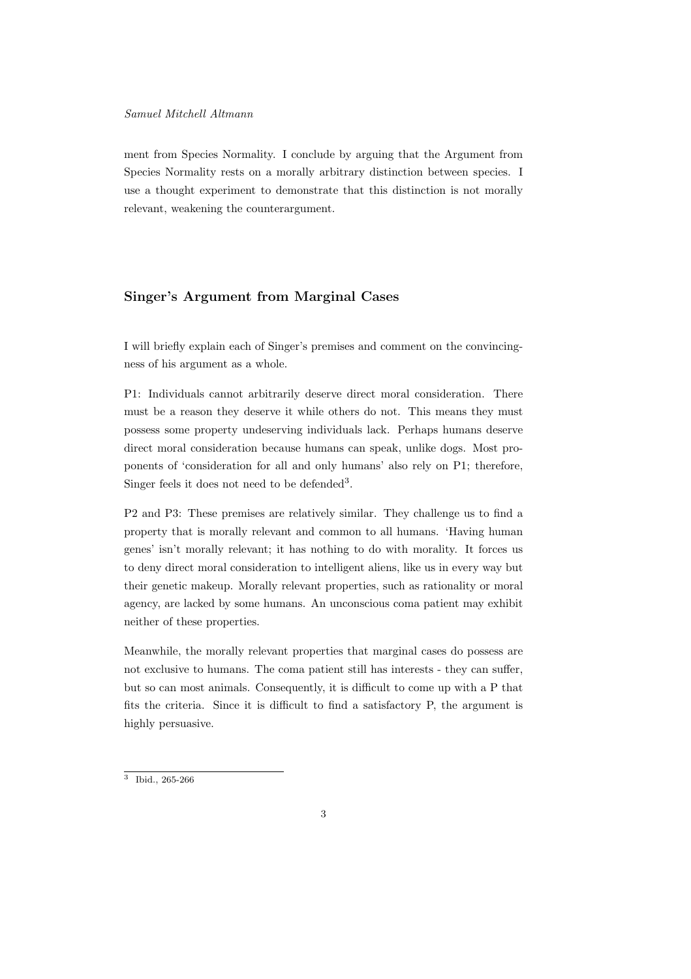ment from Species Normality. I conclude by arguing that the Argument from Species Normality rests on a morally arbitrary distinction between species. I use a thought experiment to demonstrate that this distinction is not morally relevant, weakening the counterargument.

#### Singer's Argument from Marginal Cases

I will briefly explain each of Singer's premises and comment on the convincingness of his argument as a whole.

P1: Individuals cannot arbitrarily deserve direct moral consideration. There must be a reason they deserve it while others do not. This means they must possess some property undeserving individuals lack. Perhaps humans deserve direct moral consideration because humans can speak, unlike dogs. Most proponents of 'consideration for all and only humans' also rely on P1; therefore, Singer feels it does not need to be defended<sup>3</sup>.

P2 and P3: These premises are relatively similar. They challenge us to find a property that is morally relevant and common to all humans. 'Having human genes' isn't morally relevant; it has nothing to do with morality. It forces us to deny direct moral consideration to intelligent aliens, like us in every way but their genetic makeup. Morally relevant properties, such as rationality or moral agency, are lacked by some humans. An unconscious coma patient may exhibit neither of these properties.

Meanwhile, the morally relevant properties that marginal cases do possess are not exclusive to humans. The coma patient still has interests - they can suffer, but so can most animals. Consequently, it is difficult to come up with a P that fits the criteria. Since it is difficult to find a satisfactory P, the argument is highly persuasive.

<sup>3</sup> Ibid., 265-266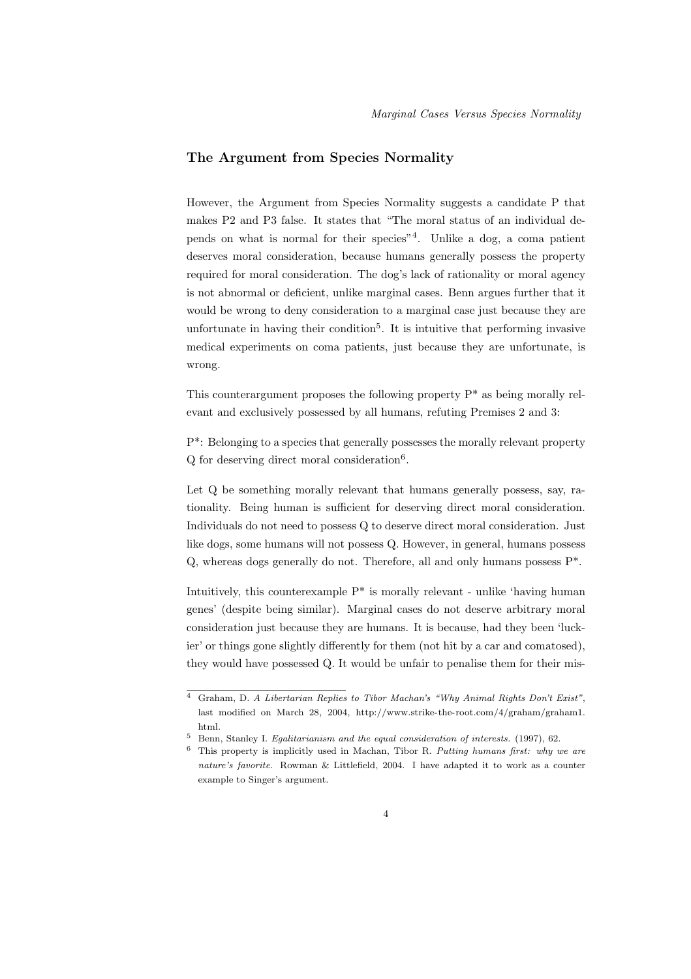# The Argument from Species Normality

However, the Argument from Species Normality suggests a candidate P that makes P2 and P3 false. It states that "The moral status of an individual depends on what is normal for their species"<sup>4</sup> . Unlike a dog, a coma patient deserves moral consideration, because humans generally possess the property required for moral consideration. The dog's lack of rationality or moral agency is not abnormal or deficient, unlike marginal cases. Benn argues further that it would be wrong to deny consideration to a marginal case just because they are unfortunate in having their condition<sup>5</sup>. It is intuitive that performing invasive medical experiments on coma patients, just because they are unfortunate, is wrong.

This counterargument proposes the following property  $P^*$  as being morally relevant and exclusively possessed by all humans, refuting Premises 2 and 3:

P\*: Belonging to a species that generally possesses the morally relevant property Q for deserving direct moral consideration<sup>6</sup> .

Let Q be something morally relevant that humans generally possess, say, rationality. Being human is sufficient for deserving direct moral consideration. Individuals do not need to possess Q to deserve direct moral consideration. Just like dogs, some humans will not possess Q. However, in general, humans possess Q, whereas dogs generally do not. Therefore, all and only humans possess P\*.

Intuitively, this counterexample  $P^*$  is morally relevant - unlike 'having human genes' (despite being similar). Marginal cases do not deserve arbitrary moral consideration just because they are humans. It is because, had they been 'luckier' or things gone slightly differently for them (not hit by a car and comatosed), they would have possessed Q. It would be unfair to penalise them for their mis-

<sup>4</sup> Graham, D. A Libertarian Replies to Tibor Machan's "Why Animal Rights Don't Exist", last modified on March 28, 2004, http://www.strike-the-root.com/4/graham/graham1. html.

<sup>5</sup> Benn, Stanley I. Egalitarianism and the equal consideration of interests. (1997), 62.

 $6$  This property is implicitly used in Machan, Tibor R. Putting humans first: why we are nature's favorite. Rowman & Littlefield, 2004. I have adapted it to work as a counter example to Singer's argument.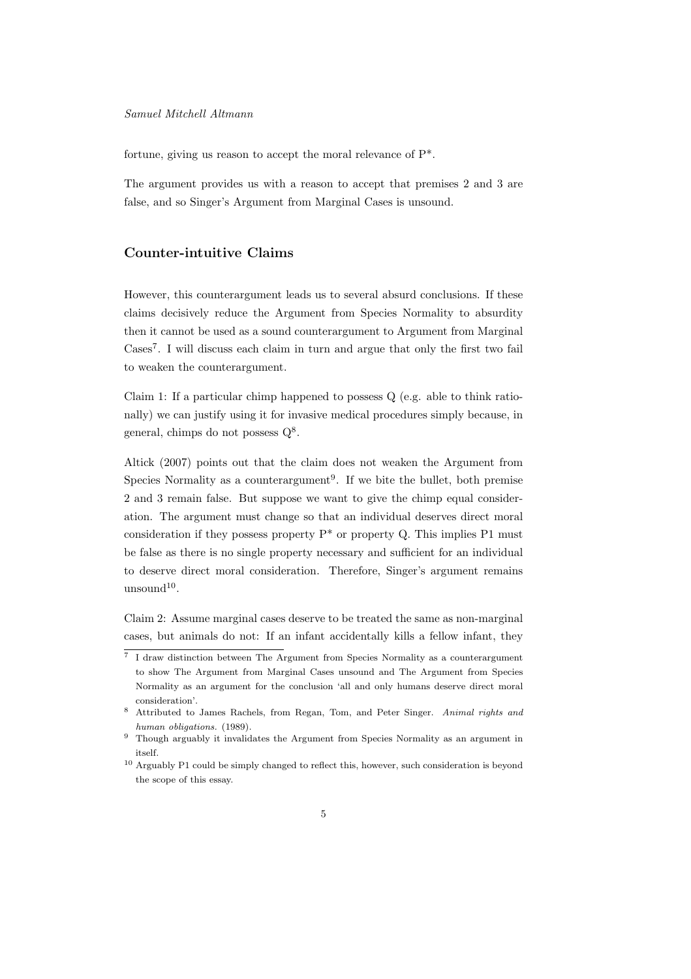fortune, giving us reason to accept the moral relevance of P\*.

The argument provides us with a reason to accept that premises 2 and 3 are false, and so Singer's Argument from Marginal Cases is unsound.

#### Counter-intuitive Claims

However, this counterargument leads us to several absurd conclusions. If these claims decisively reduce the Argument from Species Normality to absurdity then it cannot be used as a sound counterargument to Argument from Marginal Cases<sup>7</sup>. I will discuss each claim in turn and argue that only the first two fail to weaken the counterargument.

Claim 1: If a particular chimp happened to possess Q (e.g. able to think rationally) we can justify using it for invasive medical procedures simply because, in general, chimps do not possess  $Q^8$ .

Altick (2007) points out that the claim does not weaken the Argument from Species Normality as a counterargument<sup>9</sup>. If we bite the bullet, both premise 2 and 3 remain false. But suppose we want to give the chimp equal consideration. The argument must change so that an individual deserves direct moral consideration if they possess property  $P^*$  or property Q. This implies P1 must be false as there is no single property necessary and sufficient for an individual to deserve direct moral consideration. Therefore, Singer's argument remains  $umsound<sup>10</sup>$ .

Claim 2: Assume marginal cases deserve to be treated the same as non-marginal cases, but animals do not: If an infant accidentally kills a fellow infant, they

<sup>7</sup> I draw distinction between The Argument from Species Normality as a counterargument to show The Argument from Marginal Cases unsound and The Argument from Species Normality as an argument for the conclusion 'all and only humans deserve direct moral consideration'.

<sup>8</sup> Attributed to James Rachels, from Regan, Tom, and Peter Singer. Animal rights and human obligations. (1989).

<sup>9</sup> Though arguably it invalidates the Argument from Species Normality as an argument in itself.

<sup>10</sup> Arguably P1 could be simply changed to reflect this, however, such consideration is beyond the scope of this essay.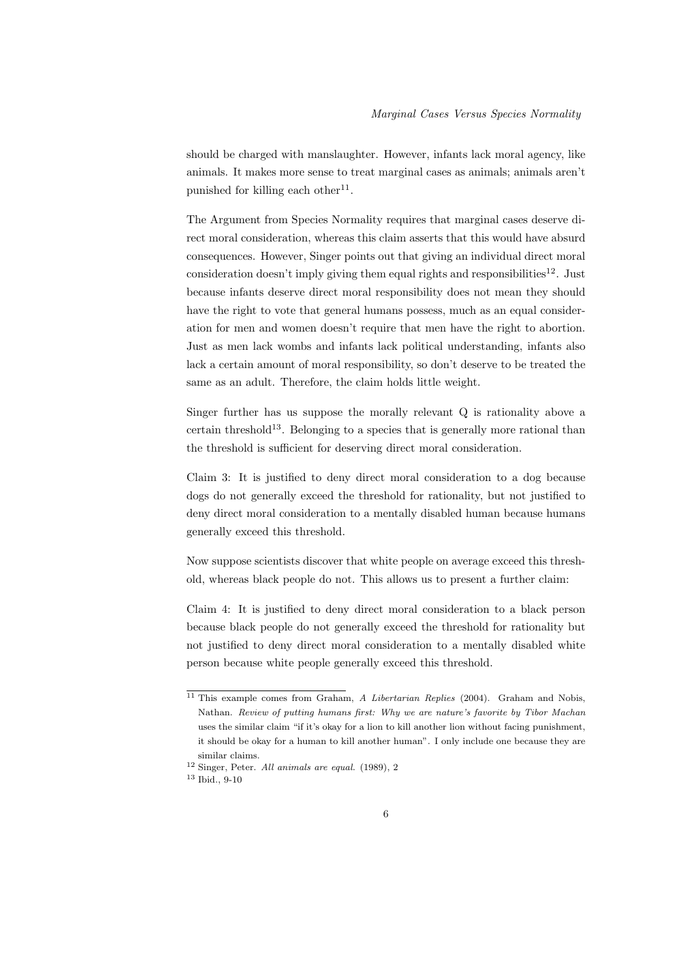should be charged with manslaughter. However, infants lack moral agency, like animals. It makes more sense to treat marginal cases as animals; animals aren't punished for killing each other<sup>11</sup>.

The Argument from Species Normality requires that marginal cases deserve direct moral consideration, whereas this claim asserts that this would have absurd consequences. However, Singer points out that giving an individual direct moral consideration doesn't imply giving them equal rights and responsibilities<sup>12</sup>. Just because infants deserve direct moral responsibility does not mean they should have the right to vote that general humans possess, much as an equal consideration for men and women doesn't require that men have the right to abortion. Just as men lack wombs and infants lack political understanding, infants also lack a certain amount of moral responsibility, so don't deserve to be treated the same as an adult. Therefore, the claim holds little weight.

Singer further has us suppose the morally relevant Q is rationality above a certain threshold<sup>13</sup>. Belonging to a species that is generally more rational than the threshold is sufficient for deserving direct moral consideration.

Claim 3: It is justified to deny direct moral consideration to a dog because dogs do not generally exceed the threshold for rationality, but not justified to deny direct moral consideration to a mentally disabled human because humans generally exceed this threshold.

Now suppose scientists discover that white people on average exceed this threshold, whereas black people do not. This allows us to present a further claim:

Claim 4: It is justified to deny direct moral consideration to a black person because black people do not generally exceed the threshold for rationality but not justified to deny direct moral consideration to a mentally disabled white person because white people generally exceed this threshold.

<sup>&</sup>lt;sup>11</sup> This example comes from Graham, A Libertarian Replies (2004). Graham and Nobis, Nathan. Review of putting humans first: Why we are nature's favorite by Tibor Machan uses the similar claim "if it's okay for a lion to kill another lion without facing punishment, it should be okay for a human to kill another human". I only include one because they are similar claims.

<sup>12</sup> Singer, Peter. All animals are equal. (1989), 2

<sup>13</sup> Ibid., 9-10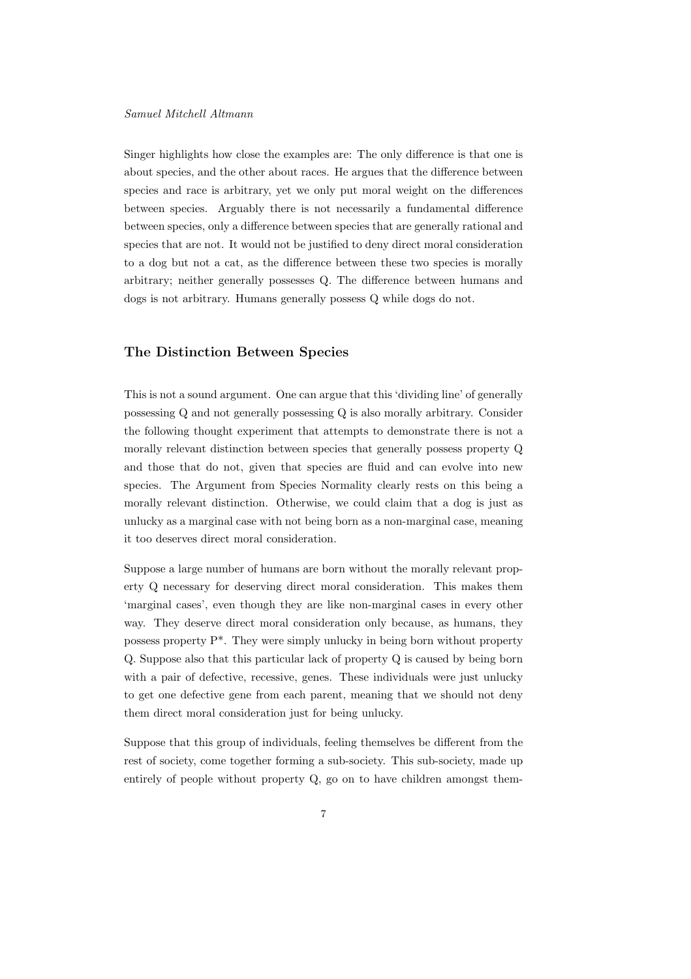Singer highlights how close the examples are: The only difference is that one is about species, and the other about races. He argues that the difference between species and race is arbitrary, yet we only put moral weight on the differences between species. Arguably there is not necessarily a fundamental difference between species, only a difference between species that are generally rational and species that are not. It would not be justified to deny direct moral consideration to a dog but not a cat, as the difference between these two species is morally arbitrary; neither generally possesses Q. The difference between humans and dogs is not arbitrary. Humans generally possess Q while dogs do not.

### The Distinction Between Species

This is not a sound argument. One can argue that this 'dividing line' of generally possessing Q and not generally possessing Q is also morally arbitrary. Consider the following thought experiment that attempts to demonstrate there is not a morally relevant distinction between species that generally possess property Q and those that do not, given that species are fluid and can evolve into new species. The Argument from Species Normality clearly rests on this being a morally relevant distinction. Otherwise, we could claim that a dog is just as unlucky as a marginal case with not being born as a non-marginal case, meaning it too deserves direct moral consideration.

Suppose a large number of humans are born without the morally relevant property Q necessary for deserving direct moral consideration. This makes them 'marginal cases', even though they are like non-marginal cases in every other way. They deserve direct moral consideration only because, as humans, they possess property P\*. They were simply unlucky in being born without property Q. Suppose also that this particular lack of property Q is caused by being born with a pair of defective, recessive, genes. These individuals were just unlucky to get one defective gene from each parent, meaning that we should not deny them direct moral consideration just for being unlucky.

Suppose that this group of individuals, feeling themselves be different from the rest of society, come together forming a sub-society. This sub-society, made up entirely of people without property Q, go on to have children amongst them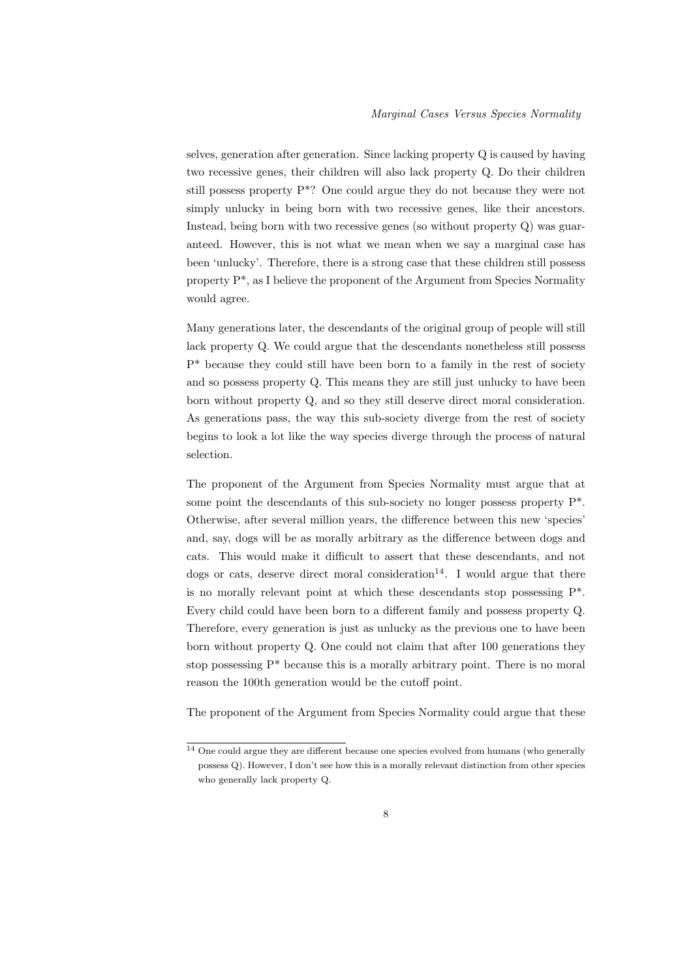selves, generation after generation. Since lacking property Q is caused by having two recessive genes, their children will also lack property Q. Do their children still possess property P\*? One could argue they do not because they were not simply unlucky in being born with two recessive genes, like their ancestors. Instead, being born with two recessive genes (so without property Q) was guaranteed. However, this is not what we mean when we say a marginal case has been 'unlucky'. Therefore, there is a strong case that these children still possess property P\*, as I believe the proponent of the Argument from Species Normality would agree.

Many generations later, the descendants of the original group of people will still lack property Q. We could argue that the descendants nonetheless still possess P\* because they could still have been born to a family in the rest of society and so possess property Q. This means they are still just unlucky to have been born without property Q, and so they still deserve direct moral consideration. As generations pass, the way this sub-society diverge from the rest of society begins to look a lot like the way species diverge through the process of natural selection.

The proponent of the Argument from Species Normality must argue that at some point the descendants of this sub-society no longer possess property P\*. Otherwise, after several million years, the difference between this new 'species' and, say, dogs will be as morally arbitrary as the difference between dogs and cats. This would make it difficult to assert that these descendants, and not dogs or cats, deserve direct moral consideration<sup>14</sup>. I would argue that there is no morally relevant point at which these descendants stop possessing P\*. Every child could have been born to a different family and possess property Q. Therefore, every generation is just as unlucky as the previous one to have been born without property Q. One could not claim that after 100 generations they stop possessing  $P^*$  because this is a morally arbitrary point. There is no moral reason the 100th generation would be the cutoff point.

The proponent of the Argument from Species Normality could argue that these

<sup>14</sup> One could argue they are different because one species evolved from humans (who generally possess Q). However, I don't see how this is a morally relevant distinction from other species who generally lack property Q.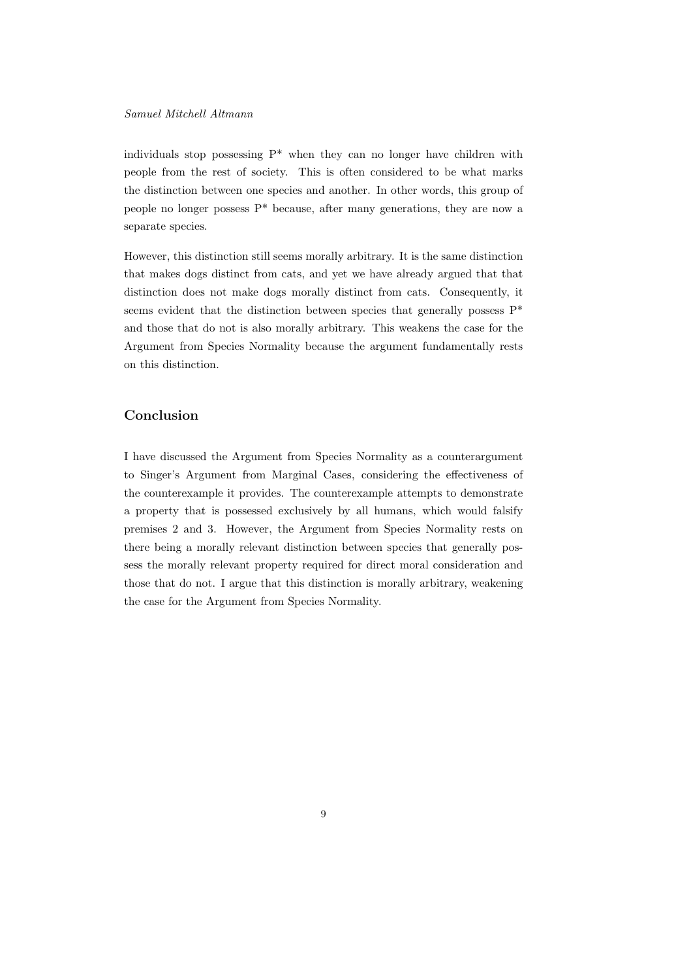individuals stop possessing P\* when they can no longer have children with people from the rest of society. This is often considered to be what marks the distinction between one species and another. In other words, this group of people no longer possess P\* because, after many generations, they are now a separate species.

However, this distinction still seems morally arbitrary. It is the same distinction that makes dogs distinct from cats, and yet we have already argued that that distinction does not make dogs morally distinct from cats. Consequently, it seems evident that the distinction between species that generally possess P\* and those that do not is also morally arbitrary. This weakens the case for the Argument from Species Normality because the argument fundamentally rests on this distinction.

#### Conclusion

I have discussed the Argument from Species Normality as a counterargument to Singer's Argument from Marginal Cases, considering the effectiveness of the counterexample it provides. The counterexample attempts to demonstrate a property that is possessed exclusively by all humans, which would falsify premises 2 and 3. However, the Argument from Species Normality rests on there being a morally relevant distinction between species that generally possess the morally relevant property required for direct moral consideration and those that do not. I argue that this distinction is morally arbitrary, weakening the case for the Argument from Species Normality.